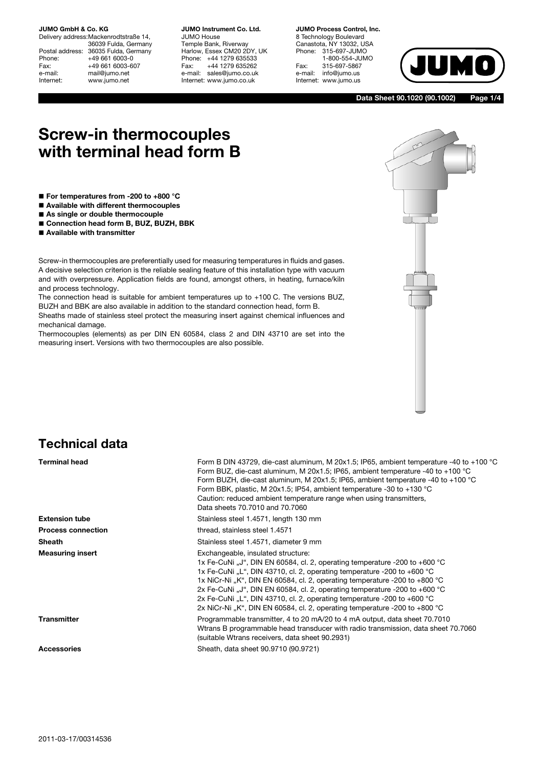Delivery address:Mackenrodtstraße 14, 36039 Fulda, Germany Postal address: 36035 Fulda, Germany<br>Phone: +49 661 6003-0 Phone: +49 661 6003-0<br>Fax: +49 661 6003-6 Fax: +49 661 6003-607<br>e-mail: mail@iumo.net mail@jumo.net Internet: www.jumo.net

**JUMO Instrument Co. Ltd.** JUMO House Temple Bank, Riverway Harlow, Essex CM20 2DY, UK Phone: +44 1279 635533<br>Fax: +44 1279 635262 +44 1279 635262 e-mail: sales@jumo.co.uk Internet: www.jumo.co.uk

**JUMO Process Control, Inc.** 8 Technology Boulevard Canastota, NY 13032, USA<br>Phone: 315-697-JUMO 315-697-JUMO 1-800-554-JUMO Fax: 315-697-5867 e-mail: info@jumo.us Internet: www.jumo.us



**Data Sheet 90.1020 (90.1002) Page 1/4**

# **Screw-in thermocouples with terminal head form B**

- **For temperatures from -200 to +800 °C**
- **Available with different thermocouples**
- As single or double thermocouple
- **Connection head form B, BUZ, BUZH, BBK**
- **Available with transmitter**

Screw-in thermocouples are preferentially used for measuring temperatures in fluids and gases. A decisive selection criterion is the reliable sealing feature of this installation type with vacuum and with overpressure. Application fields are found, amongst others, in heating, furnace/kiln and process technology.

The connection head is suitable for ambient temperatures up to +100 C. The versions BUZ, BUZH and BBK are also available in addition to the standard connection head, form B.

Sheaths made of stainless steel protect the measuring insert against chemical influences and mechanical damage.

Thermocouples (elements) as per DIN EN 60584, class 2 and DIN 43710 are set into the measuring insert. Versions with two thermocouples are also possible.

### **Technical data**

| <b>Terminal head</b>      | Form B DIN 43729, die-cast aluminum, M 20x1.5; IP65, ambient temperature -40 to +100 °C<br>Form BUZ, die-cast aluminum, M 20x1.5; IP65, ambient temperature -40 to +100 °C<br>Form BUZH, die-cast aluminum, M 20x1.5; IP65, ambient temperature -40 to +100 °C<br>Form BBK, plastic, M 20x1.5; IP54, ambient temperature -30 to +130 $^{\circ}$ C<br>Caution: reduced ambient temperature range when using transmitters,<br>Data sheets 70.7010 and 70.7060                                                      |
|---------------------------|------------------------------------------------------------------------------------------------------------------------------------------------------------------------------------------------------------------------------------------------------------------------------------------------------------------------------------------------------------------------------------------------------------------------------------------------------------------------------------------------------------------|
| <b>Extension tube</b>     | Stainless steel 1.4571, length 130 mm                                                                                                                                                                                                                                                                                                                                                                                                                                                                            |
| <b>Process connection</b> | thread, stainless steel 1.4571                                                                                                                                                                                                                                                                                                                                                                                                                                                                                   |
| <b>Sheath</b>             | Stainless steel 1.4571, diameter 9 mm                                                                                                                                                                                                                                                                                                                                                                                                                                                                            |
| <b>Measuring insert</b>   | Exchangeable, insulated structure:<br>1x Fe-CuNi "J", DIN EN 60584, cl. 2, operating temperature -200 to +600 °C<br>1x Fe-CuNi "L", DIN 43710, cl. 2, operating temperature -200 to +600 °C<br>1x NiCr-Ni, K", DIN EN 60584, cl. 2, operating temperature -200 to +800 °C<br>2x Fe-CuNi "J", DIN EN 60584, cl. 2, operating temperature -200 to +600 °C<br>2x Fe-CuNi "L", DIN 43710, cl. 2, operating temperature -200 to +600 °C<br>2x NiCr-Ni "K", DIN EN 60584, cl. 2, operating temperature -200 to +800 °C |
| <b>Transmitter</b>        | Programmable transmitter, 4 to 20 mA/20 to 4 mA output, data sheet 70.7010<br>Wtrans B programmable head transducer with radio transmission, data sheet 70.7060<br>(suitable Wtrans receivers, data sheet 90.2931)                                                                                                                                                                                                                                                                                               |
| <b>Accessories</b>        | Sheath, data sheet 90.9710 (90.9721)                                                                                                                                                                                                                                                                                                                                                                                                                                                                             |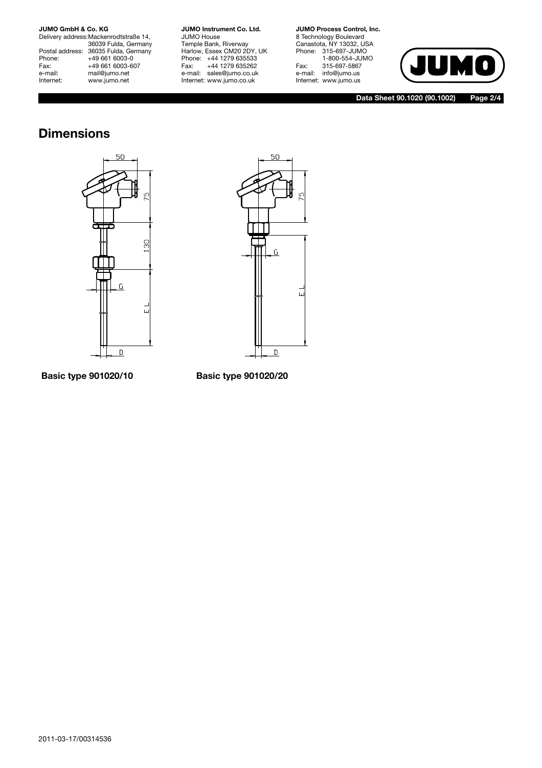Delivery address:Mackenrodtstraße 14, 36039 Fulda, Germany Postal address: 36035 Fulda, Germany Phone: +49 661 6003-0<br>Fax: +49 661 6003-6 Fax: +49 661 6003-607<br>e-mail: mail@jumo.net e-mail: mail@jumo.net<br>| Internet: www.iumo.net www.jumo.net

**JUMO Instrument Co. Ltd.** JUMO House Temple Bank, Riverway Harlow, Essex CM20 2DY, UK Phone: +44 1279 635533<br>Fax: +44 1279 635262 +44 1279 635262 e-mail: sales@jumo.co.uk Internet: www.jumo.co.uk

**JUMO Process Control, Inc.** 8 Technology Boulevard Canastota, NY 13032, USA Phone: 315-697-JUMO 1-800-554-JUMO Fax: 315-697-5867 e-mail: info@jumo.us Internet: www.jumo.us



**Data Sheet 90.1020 (90.1002) Page 2/4**

## **Dimensions**





### **Basic type 901020/10 Basic type 901020/20**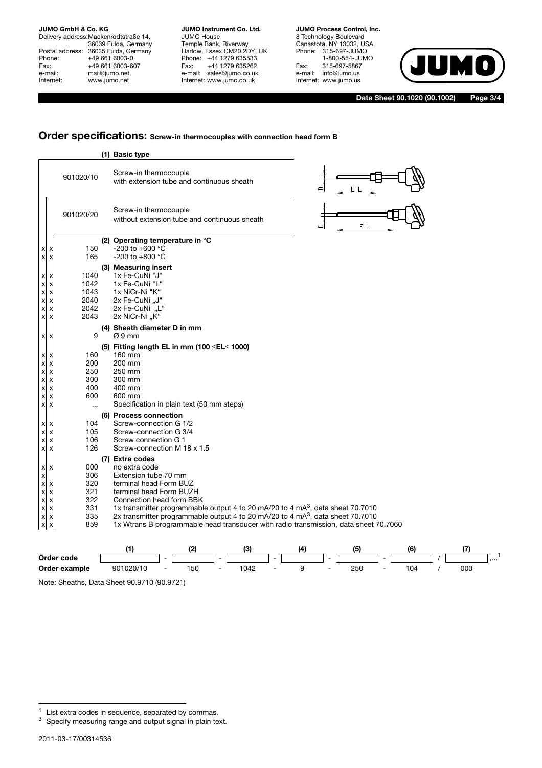Delivery address:Mackenrodtstraße 14, 36039 Fulda, Germany Postal address: 36035 Fulda, Germany Phone: +49 661 6003-0<br>Fax: +49 661 6003-6 Fax: +49 661 6003-607<br>e-mail: mail@jumo.net e-mail: mail@jumo.net<br>
Internet: www.iumo.net www.jumo.net

**JUMO Instrument Co. Ltd.** JUMO House Temple Bank, Riverway Harlow, Essex CM20 2DY, UK Phone: +44 1279 635533<br>Fax: +44 1279 635262 +44 1279 635262 e-mail: sales@jumo.co.uk Internet: www.jumo.co.uk

**JUMO Process Control, Inc.** 8 Technology Boulevard Canastota, NY 13032, USA Phone: 315-697-JUMO 1-800-554-JUMO Fax: 315-697-5867 e-mail: info@jumo.us Internet: www.jumo.us



**Data Sheet 90.1020 (90.1002) Page 3/4**

### **Order specifications: Screw-in thermocouples with connection head form B**

|                                                                                                                                                                                                                                                                                                             |                                                      | (1) Basic type                                                                                                                   |                                                                                                                                                                                                                                                                                                                                   |     |     |     |     |     |
|-------------------------------------------------------------------------------------------------------------------------------------------------------------------------------------------------------------------------------------------------------------------------------------------------------------|------------------------------------------------------|----------------------------------------------------------------------------------------------------------------------------------|-----------------------------------------------------------------------------------------------------------------------------------------------------------------------------------------------------------------------------------------------------------------------------------------------------------------------------------|-----|-----|-----|-----|-----|
|                                                                                                                                                                                                                                                                                                             | 901020/10                                            | Screw-in thermocouple                                                                                                            | with extension tube and continuous sheath                                                                                                                                                                                                                                                                                         |     |     |     |     |     |
|                                                                                                                                                                                                                                                                                                             | 901020/20                                            | Screw-in thermocouple                                                                                                            | without extension tube and continuous sheath                                                                                                                                                                                                                                                                                      |     | ▭   | F   |     |     |
| X<br>х<br>X<br>X                                                                                                                                                                                                                                                                                            | 150<br>165                                           | -200 to +600 °C<br>-200 to +800 $^{\circ}$ C                                                                                     | (2) Operating temperature in °C                                                                                                                                                                                                                                                                                                   |     |     |     |     |     |
| X X<br>$\boldsymbol{\mathsf{x}}$<br>$\boldsymbol{\mathsf{x}}$<br>X<br>$\boldsymbol{\mathsf{x}}$<br>$\boldsymbol{\mathsf{x}}$<br>$\pmb{\times}$<br>$x \mid x$<br>X<br>$\boldsymbol{\mathsf{x}}$                                                                                                              | 1040<br>1042<br>1043<br>2040<br>2042<br>2043         | (3) Measuring insert<br>1x Fe-CuNi "J"<br>1x Fe-CuNi "L"<br>1x NiCr-Ni "K"<br>2x Fe-CuNi "J"<br>2x Fe-CuNi "L"<br>2x NiCr-Ni "K" |                                                                                                                                                                                                                                                                                                                                   |     |     |     |     |     |
| X X                                                                                                                                                                                                                                                                                                         | 9                                                    | (4) Sheath diameter D in mm<br>$\varnothing$ 9 mm                                                                                |                                                                                                                                                                                                                                                                                                                                   |     |     |     |     |     |
| $x \times$<br>$\boldsymbol{\mathsf{x}}$<br>$\boldsymbol{\mathsf{x}}$<br>$\boldsymbol{\mathsf{x}}$<br>$\boldsymbol{\mathsf{x}}$<br>$\boldsymbol{\mathsf{x}}$<br>$\boldsymbol{\mathsf{x}}$<br>$\boldsymbol{\mathsf{x}}$<br>X<br>$\boldsymbol{\mathsf{x}}$<br>$\boldsymbol{\mathsf{x}}$<br>$\pmb{\times}$<br>X | 160<br>200<br>250<br>300<br>400<br>600<br>$\cdots$   | 160 mm<br>200 mm<br>250 mm<br>300 mm<br>400 mm<br>600 mm                                                                         | (5) Fitting length EL in mm (100 $\leq$ EL $\leq$ 1000)<br>Specification in plain text (50 mm steps)                                                                                                                                                                                                                              |     |     |     |     |     |
| $\boldsymbol{\mathsf{x}}$<br>X<br>$\boldsymbol{\mathsf{x}}$<br>X<br>$\pmb{\times}$<br>X<br>$\boldsymbol{\mathsf{x}}$<br>X                                                                                                                                                                                   | 104<br>105<br>106<br>126                             | (6) Process connection<br>Screw-connection G 1/2<br>Screw-connection G 3/4<br>Screw connection G 1                               | Screw-connection M 18 x 1.5                                                                                                                                                                                                                                                                                                       |     |     |     |     |     |
| x<br>х<br>$\boldsymbol{\mathsf{x}}$<br>$x \times$<br>$x \times$<br>$x \mid x$<br>$x \times$<br>$x \times$<br>$x \times$                                                                                                                                                                                     | 000<br>306<br>320<br>321<br>322<br>331<br>335<br>859 | (7) Extra codes<br>no extra code<br>Extension tube 70 mm<br>terminal head Form BUZ                                               | terminal head Form BUZH<br>Connection head form BBK<br>1x transmitter programmable output 4 to 20 mA/20 to 4 mA $_2^3$ , data sheet 70.7010<br>2x transmitter programmable output 4 to 20 mA/20 to 4 mA <sup>3</sup> , data sheet 70.7010<br>1x Wtrans B programmable head transducer with radio transmission, data sheet 70.7060 |     |     |     |     |     |
|                                                                                                                                                                                                                                                                                                             |                                                      | (1)                                                                                                                              | (2)                                                                                                                                                                                                                                                                                                                               | (3) | (4) | (5) | (6) | (7) |

|                             |           |                          |     |   | (3)  |        | ıд |     |        | 16  |     |   |
|-----------------------------|-----------|--------------------------|-----|---|------|--------|----|-----|--------|-----|-----|---|
| Order code                  |           | $\overline{\phantom{a}}$ |     |   |      | $\sim$ |    |     | $\sim$ |     |     | . |
| Order example               | 901020/10 | -                        | 150 | - | 1042 | -      |    | 250 |        | 104 | 000 |   |
| .<br>_ _ _<br>$\sim$ $\sim$ |           |                          |     |   |      |        |    |     |        |     |     |   |

Note: Sheaths, Data Sheet 90.9710 (90.9721)

 $<sup>1</sup>$  List extra codes in sequence, separated by commas.</sup>

<sup>&</sup>lt;sup>3</sup> Specify measuring range and output signal in plain text.